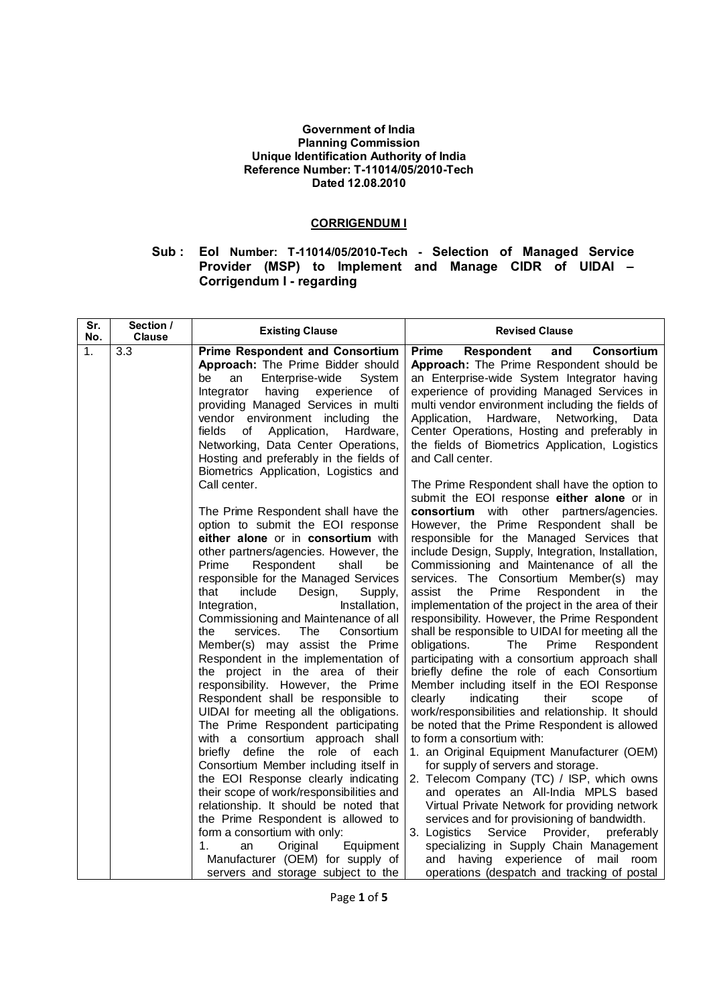## **Government of India Planning Commission Unique Identification Authority of India Reference Number: T-11014/05/2010-Tech Dated 12.08.2010**

## **CORRIGENDUM I**

## **Sub : EoI Number: T-11014/05/2010-Tech - Selection of Managed Service Provider (MSP) to Implement and Manage CIDR of UIDAI – Corrigendum I - regarding**

| Sr.<br>No. | Section /<br><b>Clause</b> | <b>Existing Clause</b>                                                                                                                                                                                                                                                                                                                                                                                                                                                                                                                                                                                                                                                                                                                                                                                                                                                                                                                                                                                                                                                                                                                                                        | <b>Revised Clause</b>                                                                                                                                                                                                                                                                                                                                                                                                                                                                                                                                                                                                                                                                                                                                                                                                                                                                                                                                                                                                                                                                                                                                                                                                                                                                                                                                                                                                                             |
|------------|----------------------------|-------------------------------------------------------------------------------------------------------------------------------------------------------------------------------------------------------------------------------------------------------------------------------------------------------------------------------------------------------------------------------------------------------------------------------------------------------------------------------------------------------------------------------------------------------------------------------------------------------------------------------------------------------------------------------------------------------------------------------------------------------------------------------------------------------------------------------------------------------------------------------------------------------------------------------------------------------------------------------------------------------------------------------------------------------------------------------------------------------------------------------------------------------------------------------|---------------------------------------------------------------------------------------------------------------------------------------------------------------------------------------------------------------------------------------------------------------------------------------------------------------------------------------------------------------------------------------------------------------------------------------------------------------------------------------------------------------------------------------------------------------------------------------------------------------------------------------------------------------------------------------------------------------------------------------------------------------------------------------------------------------------------------------------------------------------------------------------------------------------------------------------------------------------------------------------------------------------------------------------------------------------------------------------------------------------------------------------------------------------------------------------------------------------------------------------------------------------------------------------------------------------------------------------------------------------------------------------------------------------------------------------------|
| 1.         | 3.3                        | <b>Prime Respondent and Consortium</b><br>Approach: The Prime Bidder should<br>Enterprise-wide<br>be<br>an<br>System<br>experience of<br>Integrator<br>having<br>providing Managed Services in multi<br>vendor environment including<br>the<br>fields<br>of<br>Application,<br>Hardware,<br>Networking, Data Center Operations,<br>Hosting and preferably in the fields of                                                                                                                                                                                                                                                                                                                                                                                                                                                                                                                                                                                                                                                                                                                                                                                                    | <b>Prime</b><br>Respondent<br>and<br>Consortium<br>Approach: The Prime Respondent should be<br>an Enterprise-wide System Integrator having<br>experience of providing Managed Services in<br>multi vendor environment including the fields of<br>Application,<br>Hardware,<br>Networking,<br>Data<br>Center Operations, Hosting and preferably in<br>the fields of Biometrics Application, Logistics<br>and Call center.                                                                                                                                                                                                                                                                                                                                                                                                                                                                                                                                                                                                                                                                                                                                                                                                                                                                                                                                                                                                                          |
|            |                            | Biometrics Application, Logistics and<br>Call center.<br>The Prime Respondent shall have the<br>option to submit the EOI response<br>either alone or in consortium with<br>other partners/agencies. However, the<br>Prime<br>Respondent<br>shall<br>be<br>responsible for the Managed Services<br>that<br>include<br>Design,<br>Supply,<br>Integration,<br>Installation,<br>Commissioning and Maintenance of all<br>the<br>services.<br><b>The</b><br>Consortium<br>Member(s) may assist the Prime<br>Respondent in the implementation of<br>the project in the area of their<br>responsibility. However, the Prime<br>Respondent shall be responsible to<br>UIDAI for meeting all the obligations.<br>The Prime Respondent participating<br>with a consortium approach shall<br>briefly define the<br>role of each<br>Consortium Member including itself in<br>the EOI Response clearly indicating<br>their scope of work/responsibilities and<br>relationship. It should be noted that<br>the Prime Respondent is allowed to<br>form a consortium with only:<br>1.<br>Original<br>an<br>Equipment<br>Manufacturer (OEM) for supply of<br>servers and storage subject to the | The Prime Respondent shall have the option to<br>submit the EOI response either alone or in<br>consortium with other partners/agencies.<br>However, the Prime Respondent shall be<br>responsible for the Managed Services that<br>include Design, Supply, Integration, Installation,<br>Commissioning and Maintenance of all the<br>services. The Consortium Member(s) may<br>assist<br>Prime<br>the<br>Respondent<br>the<br><i>in</i><br>implementation of the project in the area of their<br>responsibility. However, the Prime Respondent<br>shall be responsible to UIDAI for meeting all the<br>obligations.<br>The<br>Prime<br>Respondent<br>participating with a consortium approach shall<br>briefly define the role of each Consortium<br>Member including itself in the EOI Response<br>their<br>clearly<br>indicating<br>scope<br>οf<br>work/responsibilities and relationship. It should<br>be noted that the Prime Respondent is allowed<br>to form a consortium with:<br>1. an Original Equipment Manufacturer (OEM)<br>for supply of servers and storage.<br>2. Telecom Company (TC) / ISP, which owns<br>and operates an All-India MPLS based<br>Virtual Private Network for providing network<br>services and for provisioning of bandwidth.<br>Service Provider,<br>3. Logistics<br>preferably<br>specializing in Supply Chain Management<br>and having experience of mail room<br>operations (despatch and tracking of postal |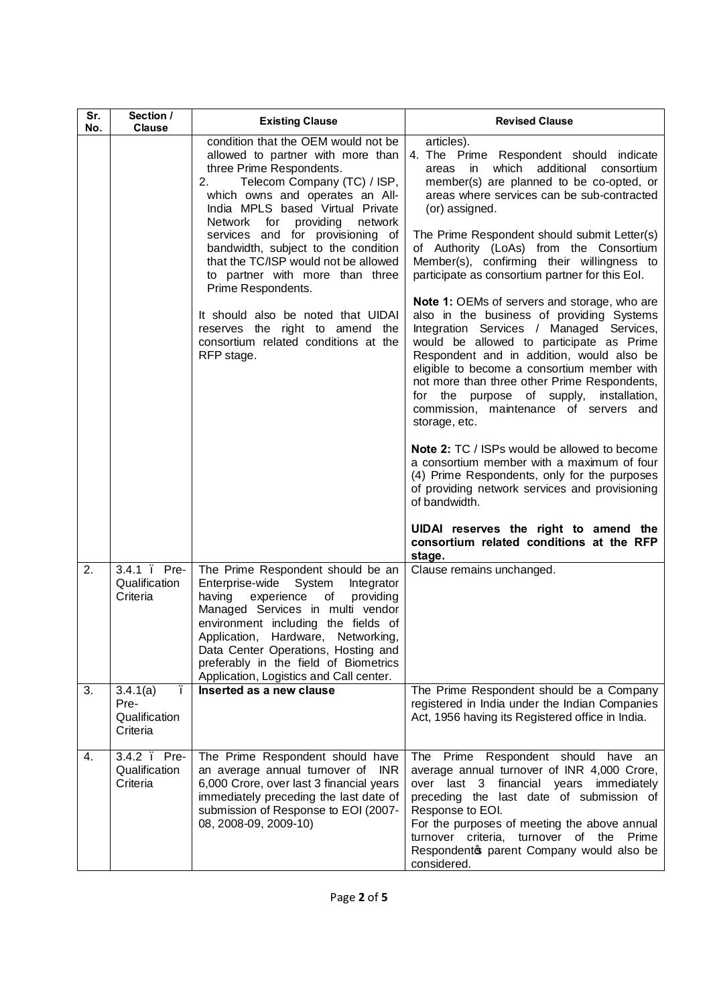| Sr.<br>No. | Section /<br><b>Clause</b>                     | <b>Existing Clause</b>                                                                                                                                                                                                                                                                                                                                                                                                                                                                                                                                             | <b>Revised Clause</b>                                                                                                                                                                                                                                                                                                                                                                                                                                                                                                                                                                                                                                                                                                                                                                                                                                                                                                                                                                                                                                                                                                                                                               |
|------------|------------------------------------------------|--------------------------------------------------------------------------------------------------------------------------------------------------------------------------------------------------------------------------------------------------------------------------------------------------------------------------------------------------------------------------------------------------------------------------------------------------------------------------------------------------------------------------------------------------------------------|-------------------------------------------------------------------------------------------------------------------------------------------------------------------------------------------------------------------------------------------------------------------------------------------------------------------------------------------------------------------------------------------------------------------------------------------------------------------------------------------------------------------------------------------------------------------------------------------------------------------------------------------------------------------------------------------------------------------------------------------------------------------------------------------------------------------------------------------------------------------------------------------------------------------------------------------------------------------------------------------------------------------------------------------------------------------------------------------------------------------------------------------------------------------------------------|
|            |                                                | condition that the OEM would not be<br>allowed to partner with more than<br>three Prime Respondents.<br>Telecom Company (TC) / ISP,<br>2.<br>which owns and operates an All-<br>India MPLS based Virtual Private<br>Network for<br>providing<br>network<br>services and for provisioning of<br>bandwidth, subject to the condition<br>that the TC/ISP would not be allowed<br>to partner with more than three<br>Prime Respondents.<br>It should also be noted that UIDAI<br>reserves the right to amend the<br>consortium related conditions at the<br>RFP stage. | articles).<br>4. The Prime Respondent should indicate<br>which<br>additional<br>in<br>consortium<br>areas<br>member(s) are planned to be co-opted, or<br>areas where services can be sub-contracted<br>(or) assigned.<br>The Prime Respondent should submit Letter(s)<br>of Authority (LoAs) from the Consortium<br>Member(s), confirming their willingness to<br>participate as consortium partner for this Eol.<br>Note 1: OEMs of servers and storage, who are<br>also in the business of providing Systems<br>Integration Services / Managed Services,<br>would be allowed to participate as Prime<br>Respondent and in addition, would also be<br>eligible to become a consortium member with<br>not more than three other Prime Respondents,<br>for the purpose of supply,<br>installation,<br>commission, maintenance of servers and<br>storage, etc.<br><b>Note 2: TC / ISPs would be allowed to become</b><br>a consortium member with a maximum of four<br>(4) Prime Respondents, only for the purposes<br>of providing network services and provisioning<br>of bandwidth.<br>UIDAI reserves the right to amend the<br>consortium related conditions at the RFP<br>stage. |
| 2.         | $3.4.1$ .<br>Pre-<br>Qualification<br>Criteria | The Prime Respondent should be an<br>Enterprise-wide<br>System<br>Integrator<br>having<br>experience<br>of<br>providing<br>Managed Services in multi vendor<br>environment including the fields of<br>Networking,<br>Application, Hardware,<br>Data Center Operations, Hosting and<br>preferably in the field of Biometrics<br>Application, Logistics and Call center.                                                                                                                                                                                             | Clause remains unchanged.                                                                                                                                                                                                                                                                                                                                                                                                                                                                                                                                                                                                                                                                                                                                                                                                                                                                                                                                                                                                                                                                                                                                                           |
| 3.         | 3.4.1(a)<br>Pre-<br>Qualification<br>Criteria  | Inserted as a new clause                                                                                                                                                                                                                                                                                                                                                                                                                                                                                                                                           | The Prime Respondent should be a Company<br>registered in India under the Indian Companies<br>Act, 1956 having its Registered office in India.                                                                                                                                                                                                                                                                                                                                                                                                                                                                                                                                                                                                                                                                                                                                                                                                                                                                                                                                                                                                                                      |
| 4.         | $3.4.2$ .<br>Pre-<br>Qualification<br>Criteria | The Prime Respondent should have<br>an average annual turnover of INR<br>6,000 Crore, over last 3 financial years<br>immediately preceding the last date of<br>submission of Response to EOI (2007-<br>08, 2008-09, 2009-10)                                                                                                                                                                                                                                                                                                                                       | The Prime Respondent should<br>have<br>an<br>average annual turnover of INR 4,000 Crore,<br>over last 3<br>financial years immediately<br>preceding the last date of submission of<br>Response to EOI.<br>For the purposes of meeting the above annual<br>turnover criteria, turnover of the Prime<br>Respondento parent Company would also be<br>considered.                                                                                                                                                                                                                                                                                                                                                                                                                                                                                                                                                                                                                                                                                                                                                                                                                       |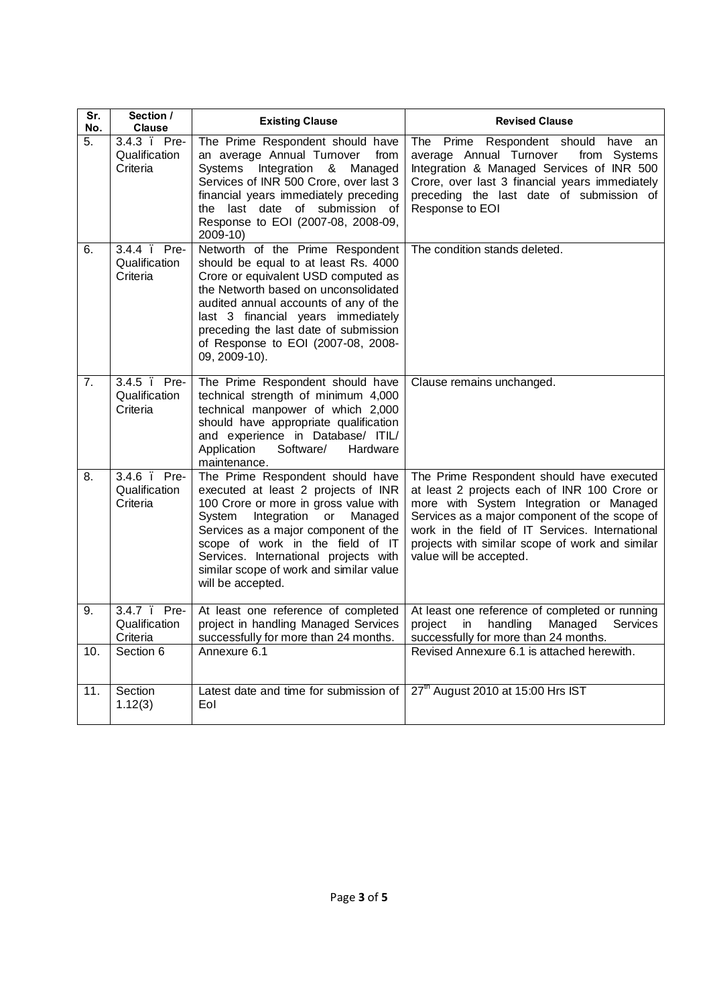| Sr.<br>No.        | Section /<br><b>Clause</b>                | <b>Existing Clause</b>                                                                                                                                                                                                                                                                                                                       | <b>Revised Clause</b>                                                                                                                                                                                                                                                                                                  |
|-------------------|-------------------------------------------|----------------------------------------------------------------------------------------------------------------------------------------------------------------------------------------------------------------------------------------------------------------------------------------------------------------------------------------------|------------------------------------------------------------------------------------------------------------------------------------------------------------------------------------------------------------------------------------------------------------------------------------------------------------------------|
| 5.                | 3.4.3 Pre-<br>Qualification<br>Criteria   | The Prime Respondent should have<br>an average Annual Turnover<br>from<br>Systems Integration &<br>Managed<br>Services of INR 500 Crore, over last 3<br>financial years immediately preceding<br>the last date of submission of<br>Response to EOI (2007-08, 2008-09,<br>2009-10)                                                            | The Prime Respondent should have<br>an<br>average Annual Turnover<br>from Systems<br>Integration & Managed Services of INR 500<br>Crore, over last 3 financial years immediately<br>preceding the last date of submission of<br>Response to EOI                                                                        |
| 6.                | 3.4.4 Pre-<br>Qualification<br>Criteria   | Networth of the Prime Respondent<br>should be equal to at least Rs. 4000<br>Crore or equivalent USD computed as<br>the Networth based on unconsolidated<br>audited annual accounts of any of the<br>last 3 financial years immediately<br>preceding the last date of submission<br>of Response to EOI (2007-08, 2008-<br>09, 2009-10).       | The condition stands deleted.                                                                                                                                                                                                                                                                                          |
| 7.                | 3.4.5 . Pre-<br>Qualification<br>Criteria | The Prime Respondent should have<br>technical strength of minimum 4,000<br>technical manpower of which 2,000<br>should have appropriate qualification<br>and experience in Database/ ITIL/<br>Application<br>Software/<br>Hardware<br>maintenance.                                                                                           | Clause remains unchanged.                                                                                                                                                                                                                                                                                              |
| 8.                | 3.4.6 . Pre-<br>Qualification<br>Criteria | The Prime Respondent should have<br>executed at least 2 projects of INR<br>100 Crore or more in gross value with<br>Integration or<br>System<br>Managed<br>Services as a major component of the<br>scope of work in the field of IT<br>Services. International projects with<br>similar scope of work and similar value<br>will be accepted. | The Prime Respondent should have executed<br>at least 2 projects each of INR 100 Crore or<br>more with System Integration or Managed<br>Services as a major component of the scope of<br>work in the field of IT Services. International<br>projects with similar scope of work and similar<br>value will be accepted. |
| 9.                | 3.4.7 . Pre-<br>Qualification<br>Criteria | At least one reference of completed<br>project in handling Managed Services<br>successfully for more than 24 months.                                                                                                                                                                                                                         | At least one reference of completed or running<br>project<br>handling<br>Managed<br>Services<br>in<br>successfully for more than 24 months.                                                                                                                                                                            |
| 10.               | Section 6                                 | Annexure 6.1                                                                                                                                                                                                                                                                                                                                 | Revised Annexure 6.1 is attached herewith.                                                                                                                                                                                                                                                                             |
| $\overline{11}$ . | Section<br>1.12(3)                        | Latest date and time for submission of<br>Eol                                                                                                                                                                                                                                                                                                | 27 <sup>th</sup> August 2010 at 15:00 Hrs IST                                                                                                                                                                                                                                                                          |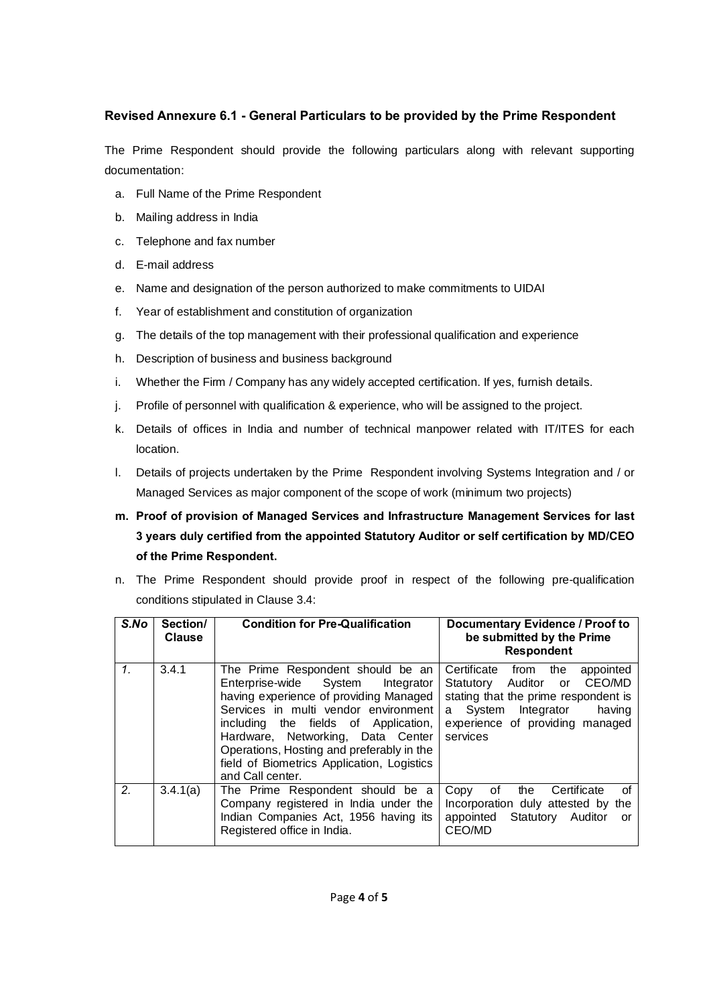## **Revised Annexure 6.1 - General Particulars to be provided by the Prime Respondent**

The Prime Respondent should provide the following particulars along with relevant supporting documentation:

- a. Full Name of the Prime Respondent
- b. Mailing address in India
- c. Telephone and fax number
- d. E-mail address
- e. Name and designation of the person authorized to make commitments to UIDAI
- f. Year of establishment and constitution of organization
- g. The details of the top management with their professional qualification and experience
- h. Description of business and business background
- i. Whether the Firm / Company has any widely accepted certification. If yes, furnish details.
- j. Profile of personnel with qualification & experience, who will be assigned to the project.
- k. Details of offices in India and number of technical manpower related with IT/ITES for each location.
- l. Details of projects undertaken by the Prime Respondent involving Systems Integration and / or Managed Services as major component of the scope of work (minimum two projects)
- **m. Proof of provision of Managed Services and Infrastructure Management Services for last 3 years duly certified from the appointed Statutory Auditor or self certification by MD/CEO of the Prime Respondent.**
- n. The Prime Respondent should provide proof in respect of the following pre-qualification conditions stipulated in Clause 3.4:

| S.No            | Section/<br><b>Clause</b> | <b>Condition for Pre-Qualification</b>                                                                                                                                                                                                                                                                                                                  | Documentary Evidence / Proof to<br>be submitted by the Prime<br><b>Respondent</b>                                                                                                                |
|-----------------|---------------------------|---------------------------------------------------------------------------------------------------------------------------------------------------------------------------------------------------------------------------------------------------------------------------------------------------------------------------------------------------------|--------------------------------------------------------------------------------------------------------------------------------------------------------------------------------------------------|
| $\mathcal{I}$ . | 3.4.1                     | The Prime Respondent should be an<br>Enterprise-wide System<br>Integrator<br>having experience of providing Managed<br>Services in multi vendor environment<br>including the fields of Application,<br>Hardware, Networking, Data Center<br>Operations, Hosting and preferably in the<br>field of Biometrics Application, Logistics<br>and Call center. | Certificate from<br>appointed<br>the<br>Statutory Auditor or CEO/MD<br>stating that the prime respondent is<br>System Integrator<br>having<br>a l<br>experience of providing managed<br>services |
| 2 <sub>1</sub>  | 3.4.1(a)                  | The Prime Respondent should be a<br>Company registered in India under the<br>Indian Companies Act, 1956 having its<br>Registered office in India.                                                                                                                                                                                                       | of<br>Copy<br>the<br>Certificate<br>οf<br>Incorporation duly attested by the<br>appointed Statutory Auditor<br>or<br>CEO/MD                                                                      |